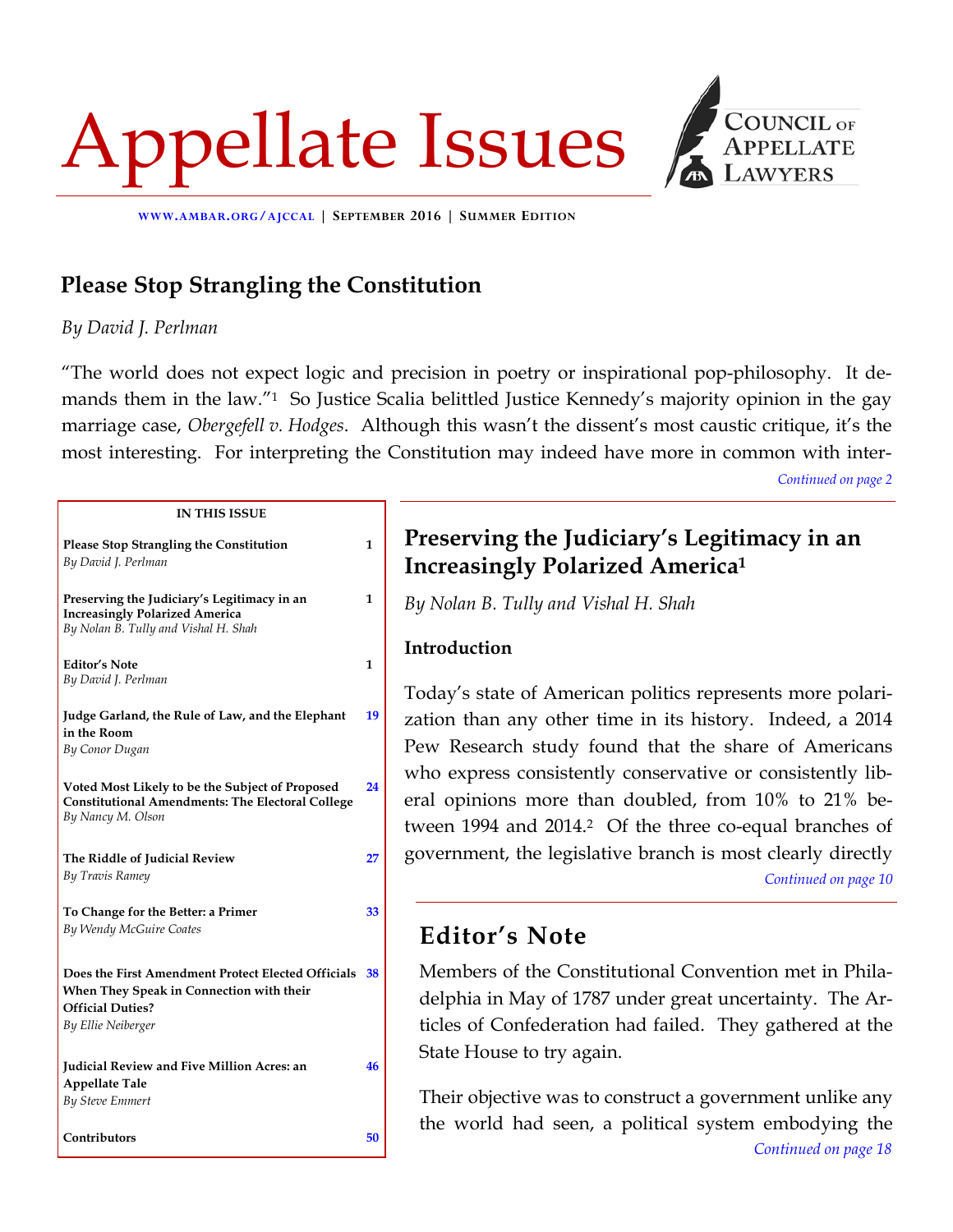# Appellate Issues



**WWW.AMBAR.ORG/AJCCAL | SEPTEMBER 2016 | SUMMER EDITION**

**1** 

**1** 

**1** 

**[19](#page--1-0)** 

**[24](#page--1-0)** 

**[27](#page--1-0)** 

**[33](#page--1-0)** 

**[46](#page--1-0)** 

# **Please Stop Strangling the Constitution**

*By David J. Perlman*

"The world does not expect logic and precision in poetry or inspirational pop-philosophy. It demands them in the law."1 So Justice Scalia belittled Justice Kennedy's majority opinion in the gay marriage case, *Obergefell v. Hodges*. Although this wasn't the dissent's most caustic critique, it's the most interesting. For interpreting the Constitution may indeed have more in common with inter-

*[Continued on page 2](#page--1-0)* 

#### **IN THIS ISSUE**

**Please Stop Strangling the Constitution** *By David J. Perlman*

**Preserving the Judiciary's Legitimacy in an Increasingly Polarized America**  *By Nolan B. Tully and Vishal H. Shah* 

**Editor's Note**  *By David J. Perlman* 

**Judge Garland, the Rule of Law, and the Elephant in the Room**  *By Conor Dugan* 

**Voted Most Likely to be the Subject of Proposed Constitutional Amendments: The Electoral College**  *By Nancy M. Olson* 

**The Riddle of Judicial Review**  *By Travis Ramey* 

**To Change for the Better: a Primer**  *By Wendy McGuire Coates* 

**Does the First Amendment Protect Elected Officials [38](#page--1-0)  When They Speak in Connection with their Official Duties?**  *By Ellie Neiberger* 

**Judicial Review and Five Million Acres: an Appellate Tale**  *By Steve Emmert* 

**Contributors [50](#page--1-0)** 

## **Preserving the Judiciary's Legitimacy in an Increasingly Polarized America1**

*By Nolan B. Tully and Vishal H. Shah* 

## **Introduction**

Today's state of American politics represents more polarization than any other time in its history. Indeed, a 2014 Pew Research study found that the share of Americans who express consistently conservative or consistently liberal opinions more than doubled, from 10% to 21% between 1994 and 2014.<sup>2</sup> Of the three co-equal branches of government, the legislative branch is most clearly directly *[Continued on page 10](#page--1-0)* 

## **Editor's Note**

Members of the Constitutional Convention met in Philadelphia in May of 1787 under great uncertainty. The Articles of Confederation had failed. They gathered at the State House to try again.

Their objective was to construct a government unlike any the world had seen, a political system embodying the *[Continued on page 18](#page--1-0)*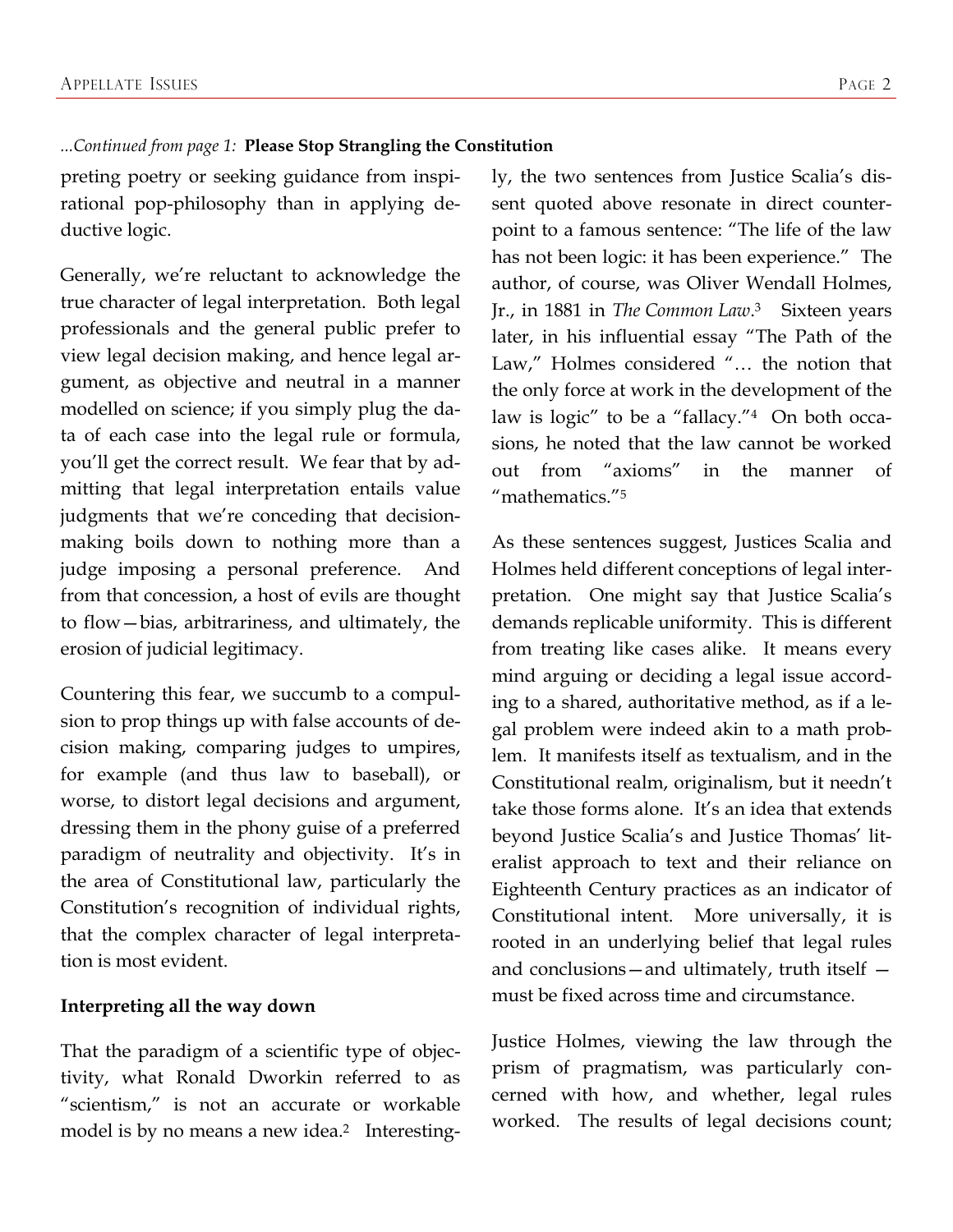### *...Continued from page 1:* **Please Stop Strangling the Constitution**

preting poetry or seeking guidance from inspirational pop-philosophy than in applying deductive logic.

Generally, we're reluctant to acknowledge the true character of legal interpretation. Both legal professionals and the general public prefer to view legal decision making, and hence legal argument, as objective and neutral in a manner modelled on science; if you simply plug the data of each case into the legal rule or formula, you'll get the correct result. We fear that by admitting that legal interpretation entails value judgments that we're conceding that decisionmaking boils down to nothing more than a judge imposing a personal preference. And from that concession, a host of evils are thought to flow—bias, arbitrariness, and ultimately, the erosion of judicial legitimacy.

Countering this fear, we succumb to a compulsion to prop things up with false accounts of decision making, comparing judges to umpires, for example (and thus law to baseball), or worse, to distort legal decisions and argument, dressing them in the phony guise of a preferred paradigm of neutrality and objectivity. It's in the area of Constitutional law, particularly the Constitution's recognition of individual rights, that the complex character of legal interpretation is most evident.

### **Interpreting all the way down**

That the paradigm of a scientific type of objectivity, what Ronald Dworkin referred to as "scientism," is not an accurate or workable model is by no means a new idea.<sup>2</sup> Interestingly, the two sentences from Justice Scalia's dissent quoted above resonate in direct counterpoint to a famous sentence: "The life of the law has not been logic: it has been experience." The author, of course, was Oliver Wendall Holmes, Jr., in 1881 in *The Common Law*.3 Sixteen years later, in his influential essay "The Path of the Law," Holmes considered "… the notion that the only force at work in the development of the law is logic" to be a "fallacy."4 On both occasions, he noted that the law cannot be worked out from "axioms" in the manner of "mathematics."5

As these sentences suggest, Justices Scalia and Holmes held different conceptions of legal interpretation. One might say that Justice Scalia's demands replicable uniformity. This is different from treating like cases alike. It means every mind arguing or deciding a legal issue according to a shared, authoritative method, as if a legal problem were indeed akin to a math problem. It manifests itself as textualism, and in the Constitutional realm, originalism, but it needn't take those forms alone. It's an idea that extends beyond Justice Scalia's and Justice Thomas' literalist approach to text and their reliance on Eighteenth Century practices as an indicator of Constitutional intent. More universally, it is rooted in an underlying belief that legal rules and conclusions—and ultimately, truth itself must be fixed across time and circumstance.

Justice Holmes, viewing the law through the prism of pragmatism, was particularly concerned with how, and whether, legal rules worked. The results of legal decisions count;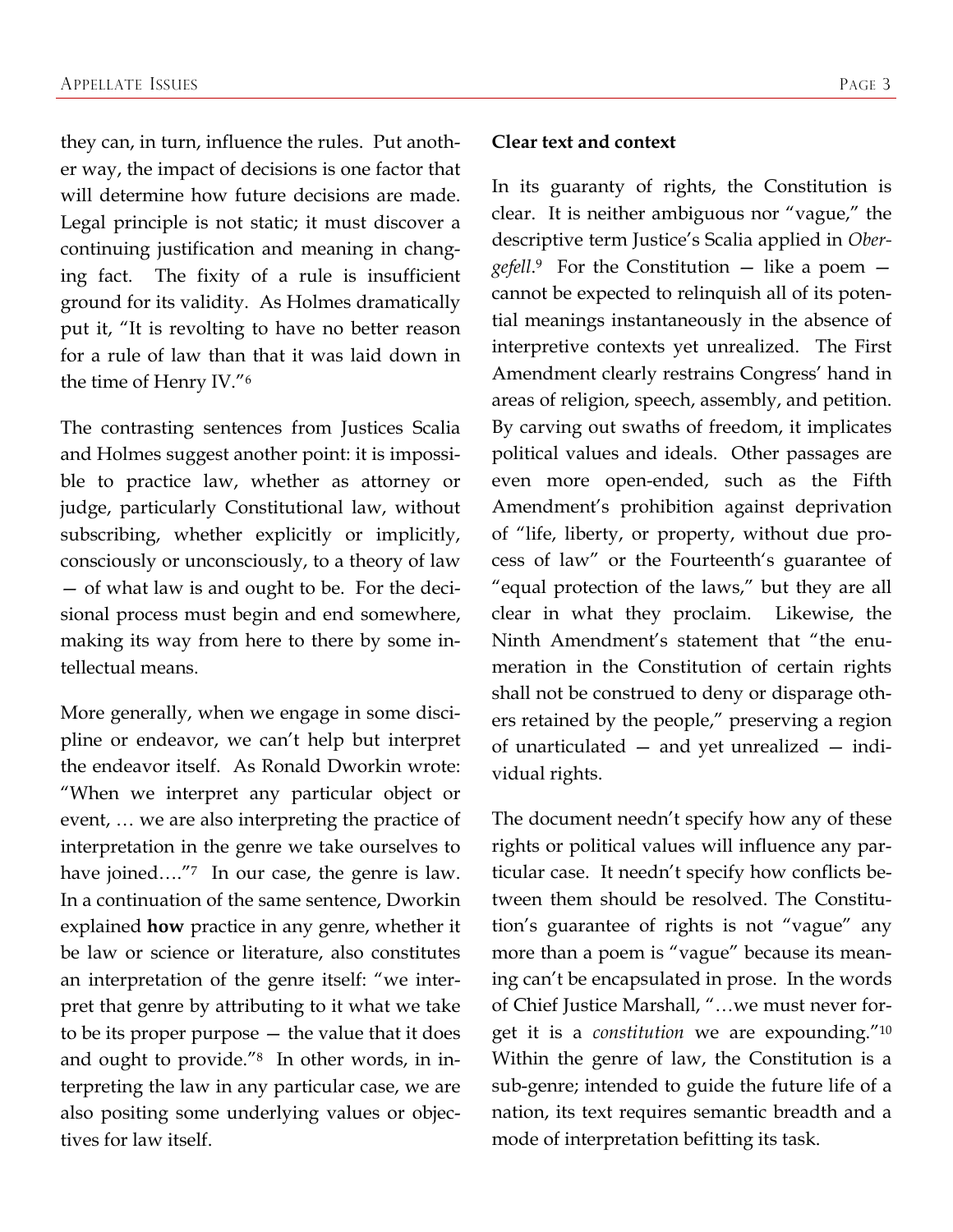they can, in turn, influence the rules. Put another way, the impact of decisions is one factor that will determine how future decisions are made. Legal principle is not static; it must discover a continuing justification and meaning in changing fact. The fixity of a rule is insufficient ground for its validity. As Holmes dramatically put it, "It is revolting to have no better reason for a rule of law than that it was laid down in the time of Henry IV."6

The contrasting sentences from Justices Scalia and Holmes suggest another point: it is impossible to practice law, whether as attorney or judge, particularly Constitutional law, without subscribing, whether explicitly or implicitly, consciously or unconsciously, to a theory of law — of what law is and ought to be. For the decisional process must begin and end somewhere, making its way from here to there by some intellectual means.

More generally, when we engage in some discipline or endeavor, we can't help but interpret the endeavor itself. As Ronald Dworkin wrote: "When we interpret any particular object or event, … we are also interpreting the practice of interpretation in the genre we take ourselves to have joined...."<sup>7</sup> In our case, the genre is law. In a continuation of the same sentence, Dworkin explained **how** practice in any genre, whether it be law or science or literature, also constitutes an interpretation of the genre itself: "we interpret that genre by attributing to it what we take to be its proper purpose — the value that it does and ought to provide."8 In other words, in interpreting the law in any particular case, we are also positing some underlying values or objectives for law itself.

#### **Clear text and context**

In its guaranty of rights, the Constitution is clear. It is neither ambiguous nor "vague," the descriptive term Justice's Scalia applied in *Obergefell*.9 For the Constitution — like a poem cannot be expected to relinquish all of its potential meanings instantaneously in the absence of interpretive contexts yet unrealized. The First Amendment clearly restrains Congress' hand in areas of religion, speech, assembly, and petition. By carving out swaths of freedom, it implicates political values and ideals. Other passages are even more open-ended, such as the Fifth Amendment's prohibition against deprivation of "life, liberty, or property, without due process of law" or the Fourteenth's guarantee of "equal protection of the laws," but they are all clear in what they proclaim. Likewise, the Ninth Amendment's statement that "the enumeration in the Constitution of certain rights shall not be construed to deny or disparage others retained by the people," preserving a region of unarticulated — and yet unrealized — individual rights.

The document needn't specify how any of these rights or political values will influence any particular case. It needn't specify how conflicts between them should be resolved. The Constitution's guarantee of rights is not "vague" any more than a poem is "vague" because its meaning can't be encapsulated in prose. In the words of Chief Justice Marshall, "…we must never forget it is a *constitution* we are expounding."10 Within the genre of law, the Constitution is a sub-genre; intended to guide the future life of a nation, its text requires semantic breadth and a mode of interpretation befitting its task.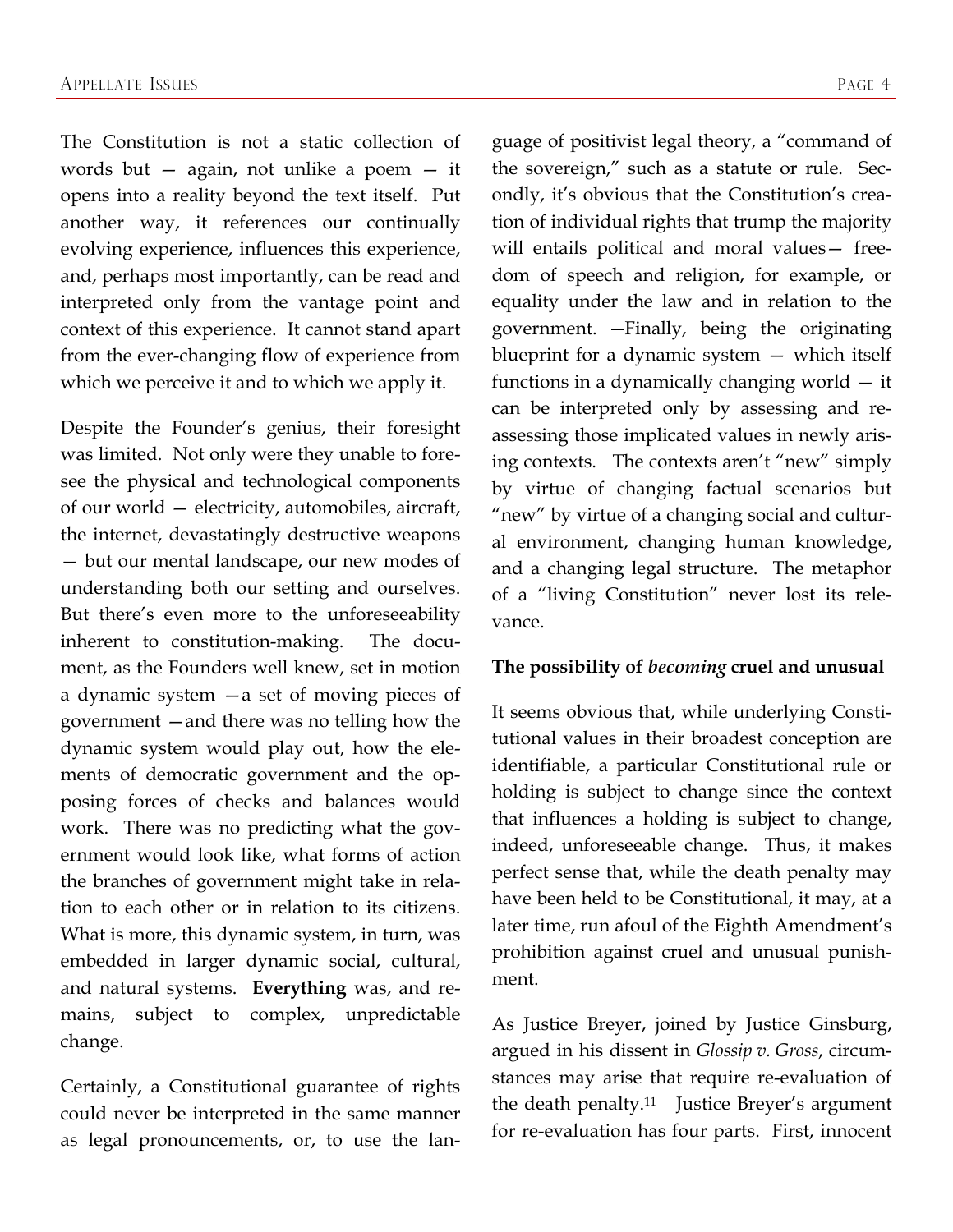The Constitution is not a static collection of words but  $-$  again, not unlike a poem  $-$  it opens into a reality beyond the text itself. Put another way, it references our continually evolving experience, influences this experience, and, perhaps most importantly, can be read and interpreted only from the vantage point and context of this experience. It cannot stand apart from the ever-changing flow of experience from which we perceive it and to which we apply it.

Despite the Founder's genius, their foresight was limited. Not only were they unable to foresee the physical and technological components of our world — electricity, automobiles, aircraft, the internet, devastatingly destructive weapons — but our mental landscape, our new modes of understanding both our setting and ourselves. But there's even more to the unforeseeability inherent to constitution-making. The document, as the Founders well knew, set in motion a dynamic system —a set of moving pieces of government —and there was no telling how the dynamic system would play out, how the elements of democratic government and the opposing forces of checks and balances would work. There was no predicting what the government would look like, what forms of action the branches of government might take in relation to each other or in relation to its citizens. What is more, this dynamic system, in turn, was embedded in larger dynamic social, cultural, and natural systems. **Everything** was, and remains, subject to complex, unpredictable change.

Certainly, a Constitutional guarantee of rights could never be interpreted in the same manner as legal pronouncements, or, to use the language of positivist legal theory, a "command of the sovereign," such as a statute or rule. Secondly, it's obvious that the Constitution's creation of individual rights that trump the majority will entails political and moral values— freedom of speech and religion, for example, or equality under the law and in relation to the government. - Finally, being the originating blueprint for a dynamic system — which itself functions in a dynamically changing world — it can be interpreted only by assessing and reassessing those implicated values in newly arising contexts. The contexts aren't "new" simply by virtue of changing factual scenarios but "new" by virtue of a changing social and cultural environment, changing human knowledge, and a changing legal structure. The metaphor of a "living Constitution" never lost its relevance.

#### **The possibility of** *becoming* **cruel and unusual**

It seems obvious that, while underlying Constitutional values in their broadest conception are identifiable, a particular Constitutional rule or holding is subject to change since the context that influences a holding is subject to change, indeed, unforeseeable change. Thus, it makes perfect sense that, while the death penalty may have been held to be Constitutional, it may, at a later time, run afoul of the Eighth Amendment's prohibition against cruel and unusual punishment.

As Justice Breyer, joined by Justice Ginsburg, argued in his dissent in *Glossip v. Gross*, circumstances may arise that require re-evaluation of the death penalty.11 Justice Breyer's argument for re-evaluation has four parts. First, innocent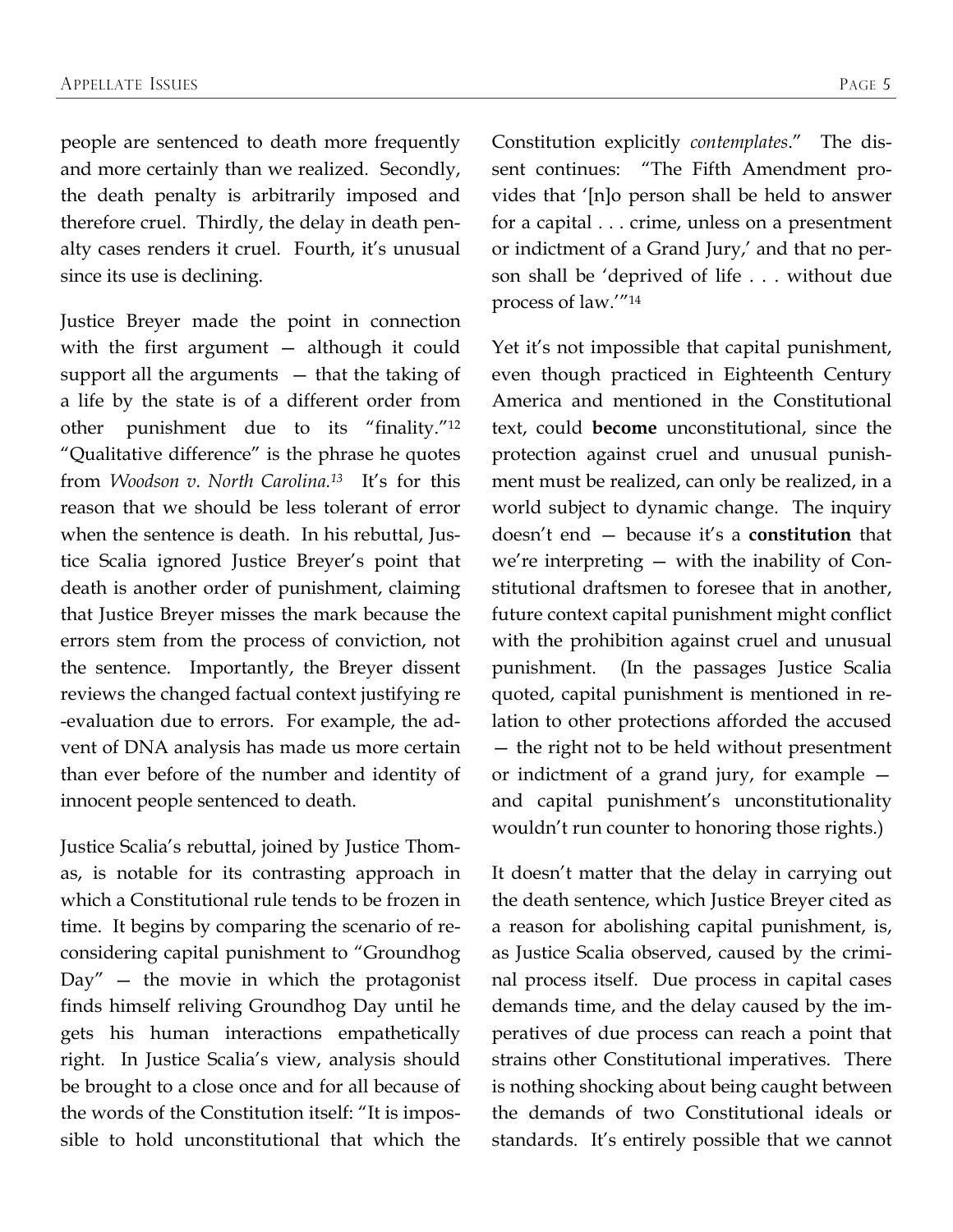people are sentenced to death more frequently and more certainly than we realized. Secondly, the death penalty is arbitrarily imposed and therefore cruel. Thirdly, the delay in death penalty cases renders it cruel. Fourth, it's unusual since its use is declining.

Justice Breyer made the point in connection with the first argument — although it could support all the arguments — that the taking of a life by the state is of a different order from other punishment due to its "finality."12 "Qualitative difference" is the phrase he quotes from *Woodson v. North Carolina.13* It's for this reason that we should be less tolerant of error when the sentence is death. In his rebuttal, Justice Scalia ignored Justice Breyer's point that death is another order of punishment, claiming that Justice Breyer misses the mark because the errors stem from the process of conviction, not the sentence. Importantly, the Breyer dissent reviews the changed factual context justifying re -evaluation due to errors. For example, the advent of DNA analysis has made us more certain than ever before of the number and identity of innocent people sentenced to death.

Justice Scalia's rebuttal, joined by Justice Thomas, is notable for its contrasting approach in which a Constitutional rule tends to be frozen in time. It begins by comparing the scenario of reconsidering capital punishment to "Groundhog  $Day''$  – the movie in which the protagonist finds himself reliving Groundhog Day until he gets his human interactions empathetically right. In Justice Scalia's view, analysis should be brought to a close once and for all because of the words of the Constitution itself: "It is impossible to hold unconstitutional that which the

Constitution explicitly *contemplates*." The dissent continues: "The Fifth Amendment provides that '[n]o person shall be held to answer for a capital . . . crime, unless on a presentment or indictment of a Grand Jury,' and that no person shall be 'deprived of life . . . without due process of law.'"14

Yet it's not impossible that capital punishment, even though practiced in Eighteenth Century America and mentioned in the Constitutional text, could **become** unconstitutional, since the protection against cruel and unusual punishment must be realized, can only be realized, in a world subject to dynamic change. The inquiry doesn't end — because it's a **constitution** that we're interpreting — with the inability of Constitutional draftsmen to foresee that in another, future context capital punishment might conflict with the prohibition against cruel and unusual punishment. (In the passages Justice Scalia quoted, capital punishment is mentioned in relation to other protections afforded the accused — the right not to be held without presentment or indictment of a grand jury, for example and capital punishment's unconstitutionality wouldn't run counter to honoring those rights.)

It doesn't matter that the delay in carrying out the death sentence, which Justice Breyer cited as a reason for abolishing capital punishment, is, as Justice Scalia observed, caused by the criminal process itself. Due process in capital cases demands time, and the delay caused by the imperatives of due process can reach a point that strains other Constitutional imperatives. There is nothing shocking about being caught between the demands of two Constitutional ideals or standards. It's entirely possible that we cannot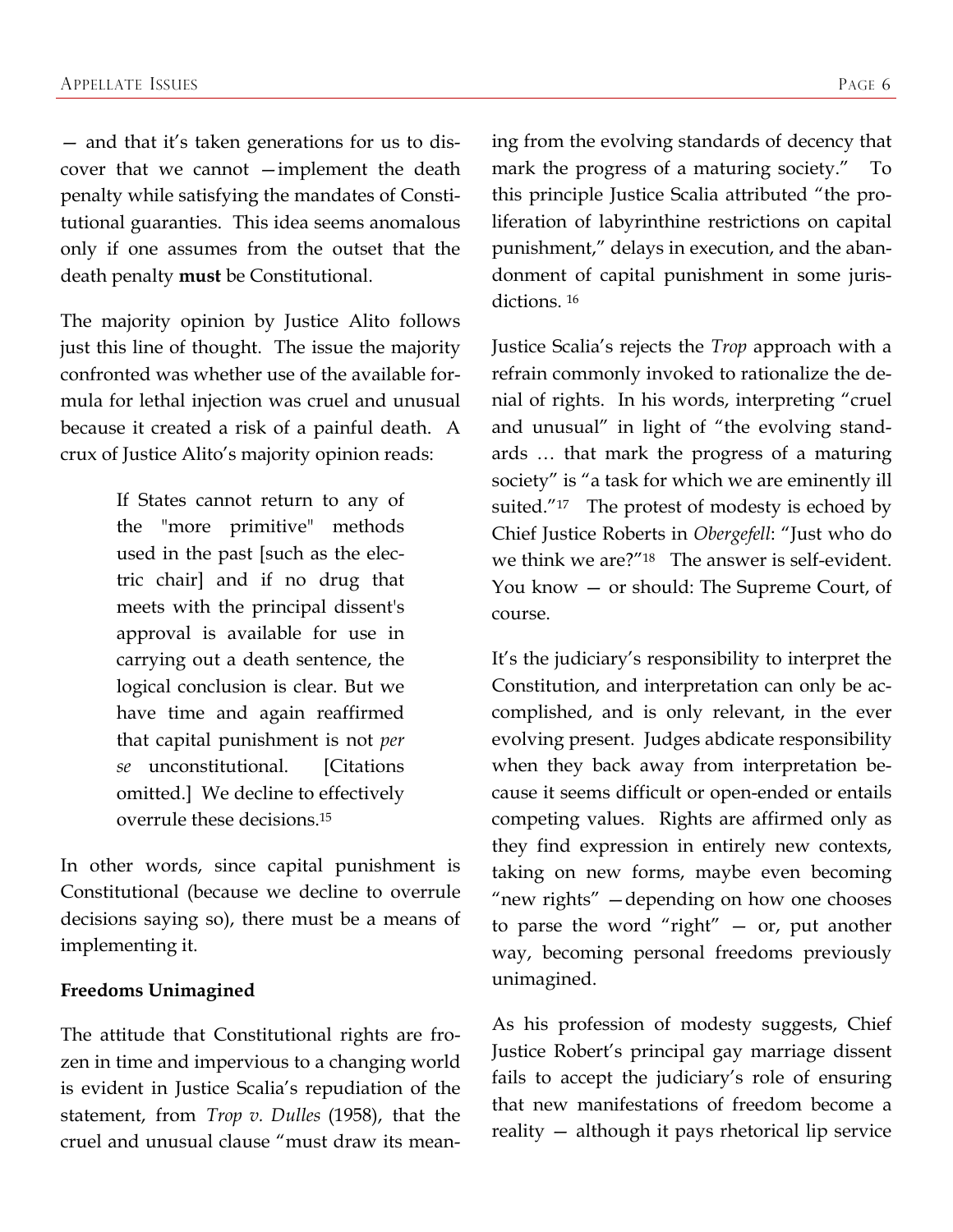— and that it's taken generations for us to discover that we cannot —implement the death penalty while satisfying the mandates of Constitutional guaranties. This idea seems anomalous only if one assumes from the outset that the death penalty **must** be Constitutional.

The majority opinion by Justice Alito follows just this line of thought. The issue the majority confronted was whether use of the available formula for lethal injection was cruel and unusual because it created a risk of a painful death. A crux of Justice Alito's majority opinion reads:

> If States cannot return to any of the "more primitive" methods used in the past [such as the electric chair] and if no drug that meets with the principal dissent's approval is available for use in carrying out a death sentence, the logical conclusion is clear. But we have time and again reaffirmed that capital punishment is not *per se* unconstitutional. [Citations omitted.] We decline to effectively overrule these decisions.15

In other words, since capital punishment is Constitutional (because we decline to overrule decisions saying so), there must be a means of implementing it.

### **Freedoms Unimagined**

The attitude that Constitutional rights are frozen in time and impervious to a changing world is evident in Justice Scalia's repudiation of the statement, from *Trop v. Dulles* (1958), that the cruel and unusual clause "must draw its meaning from the evolving standards of decency that mark the progress of a maturing society." To this principle Justice Scalia attributed "the proliferation of labyrinthine restrictions on capital punishment," delays in execution, and the abandonment of capital punishment in some jurisdictions. 16

Justice Scalia's rejects the *Trop* approach with a refrain commonly invoked to rationalize the denial of rights. In his words, interpreting "cruel and unusual" in light of "the evolving standards … that mark the progress of a maturing society" is "a task for which we are eminently ill suited."<sup>17</sup> The protest of modesty is echoed by Chief Justice Roberts in *Obergefell*: "Just who do we think we are?"18 The answer is self-evident. You know — or should: The Supreme Court, of course.

It's the judiciary's responsibility to interpret the Constitution, and interpretation can only be accomplished, and is only relevant, in the ever evolving present. Judges abdicate responsibility when they back away from interpretation because it seems difficult or open-ended or entails competing values. Rights are affirmed only as they find expression in entirely new contexts, taking on new forms, maybe even becoming "new rights" —depending on how one chooses to parse the word "right" — or, put another way, becoming personal freedoms previously unimagined.

As his profession of modesty suggests, Chief Justice Robert's principal gay marriage dissent fails to accept the judiciary's role of ensuring that new manifestations of freedom become a reality — although it pays rhetorical lip service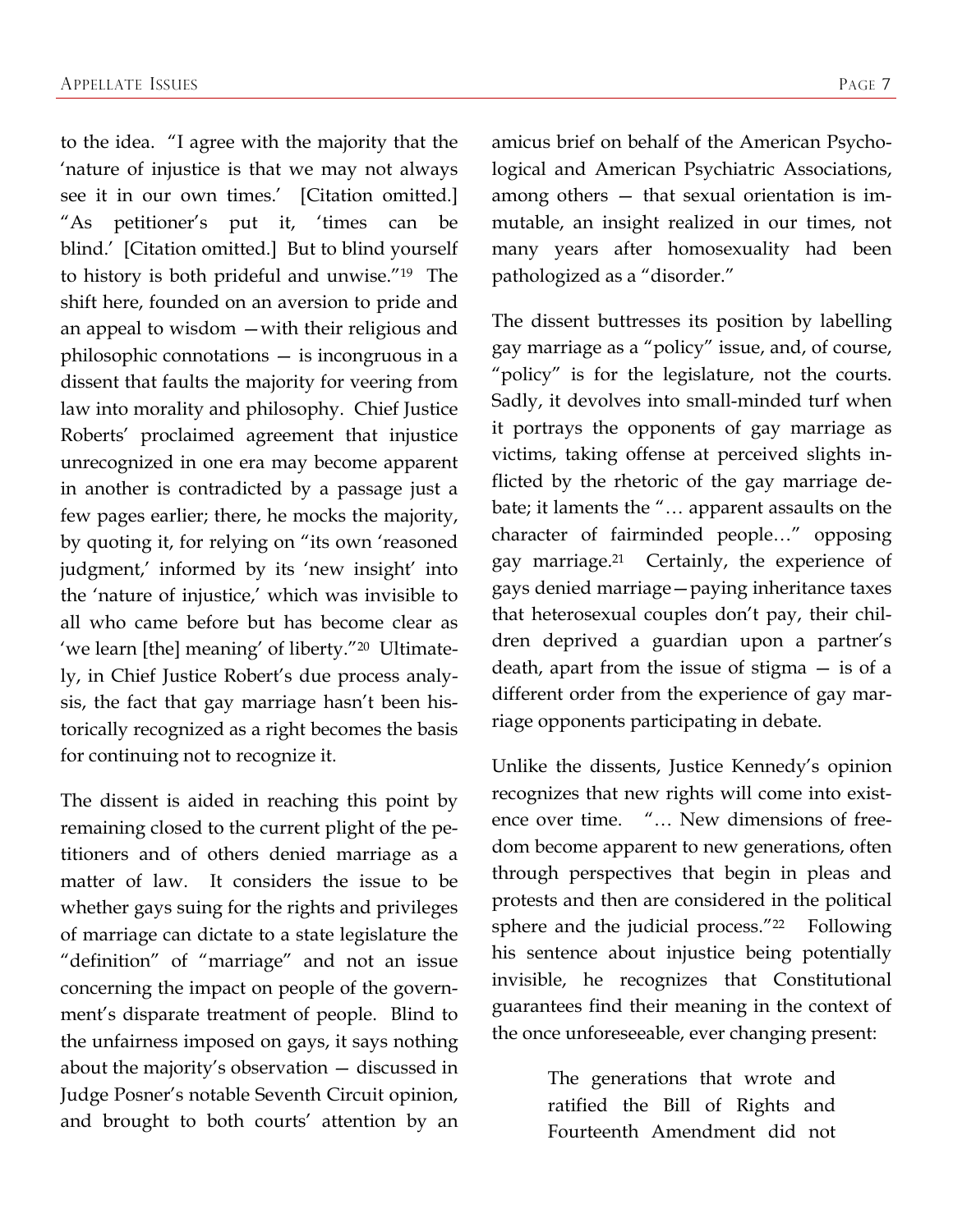to the idea. "I agree with the majority that the 'nature of injustice is that we may not always see it in our own times.' [Citation omitted.] "As petitioner's put it, 'times can be blind.' [Citation omitted.] But to blind yourself to history is both prideful and unwise."19 The shift here, founded on an aversion to pride and an appeal to wisdom —with their religious and philosophic connotations — is incongruous in a dissent that faults the majority for veering from law into morality and philosophy. Chief Justice Roberts' proclaimed agreement that injustice unrecognized in one era may become apparent in another is contradicted by a passage just a few pages earlier; there, he mocks the majority, by quoting it, for relying on "its own 'reasoned judgment,' informed by its 'new insight' into the 'nature of injustice,' which was invisible to all who came before but has become clear as 'we learn [the] meaning' of liberty."20 Ultimately, in Chief Justice Robert's due process analysis, the fact that gay marriage hasn't been historically recognized as a right becomes the basis for continuing not to recognize it.

The dissent is aided in reaching this point by remaining closed to the current plight of the petitioners and of others denied marriage as a matter of law. It considers the issue to be whether gays suing for the rights and privileges of marriage can dictate to a state legislature the "definition" of "marriage" and not an issue concerning the impact on people of the government's disparate treatment of people. Blind to the unfairness imposed on gays, it says nothing about the majority's observation — discussed in Judge Posner's notable Seventh Circuit opinion, and brought to both courts' attention by an amicus brief on behalf of the American Psychological and American Psychiatric Associations, among others — that sexual orientation is immutable, an insight realized in our times, not many years after homosexuality had been pathologized as a "disorder."

The dissent buttresses its position by labelling gay marriage as a "policy" issue, and, of course, "policy" is for the legislature, not the courts. Sadly, it devolves into small-minded turf when it portrays the opponents of gay marriage as victims, taking offense at perceived slights inflicted by the rhetoric of the gay marriage debate; it laments the "… apparent assaults on the character of fairminded people…" opposing gay marriage.21 Certainly, the experience of gays denied marriage—paying inheritance taxes that heterosexual couples don't pay, their children deprived a guardian upon a partner's death, apart from the issue of stigma — is of a different order from the experience of gay marriage opponents participating in debate.

Unlike the dissents, Justice Kennedy's opinion recognizes that new rights will come into existence over time. "… New dimensions of freedom become apparent to new generations, often through perspectives that begin in pleas and protests and then are considered in the political sphere and the judicial process."<sup>22</sup> Following his sentence about injustice being potentially invisible, he recognizes that Constitutional guarantees find their meaning in the context of the once unforeseeable, ever changing present:

> The generations that wrote and ratified the Bill of Rights and Fourteenth Amendment did not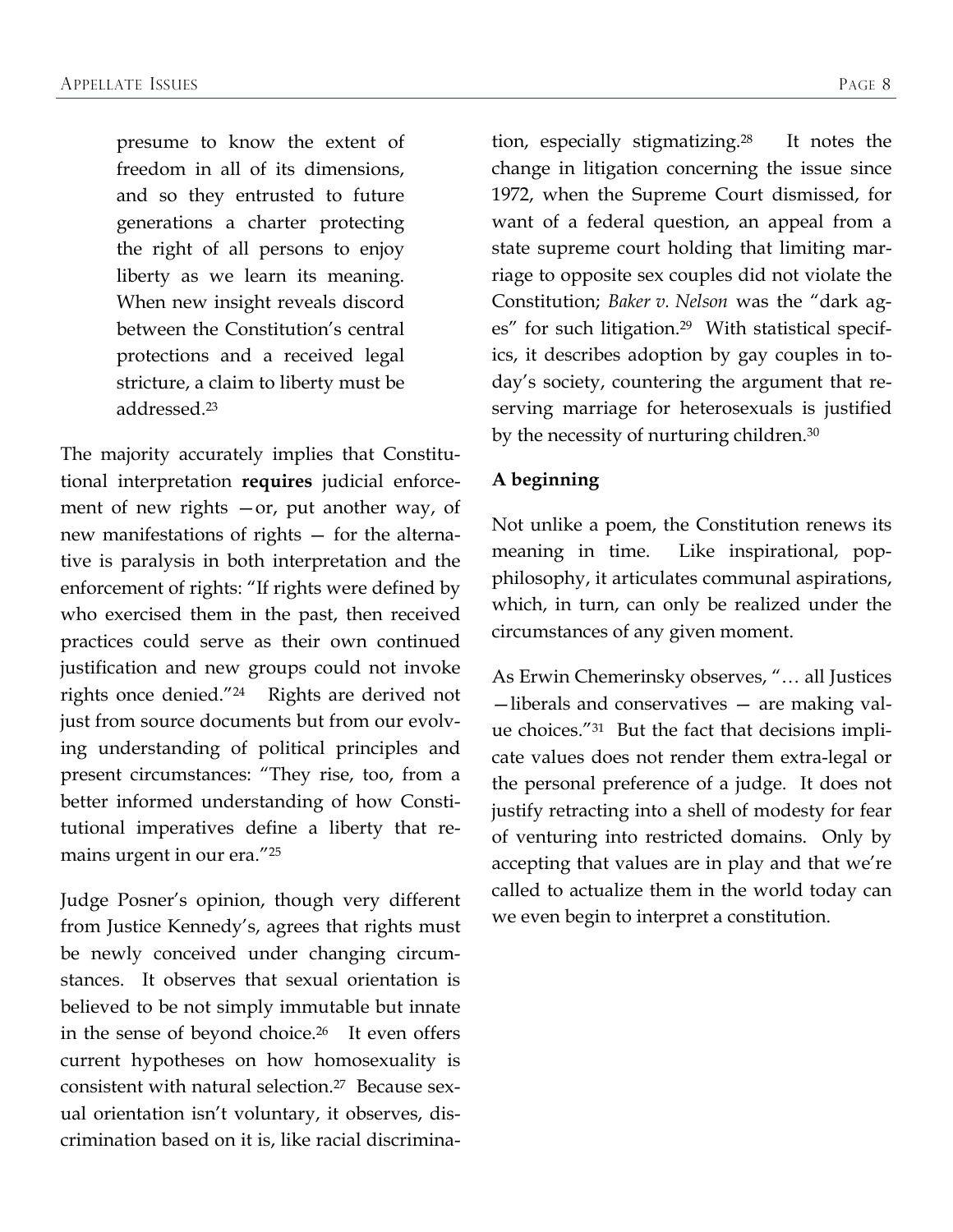presume to know the extent of freedom in all of its dimensions, and so they entrusted to future generations a charter protecting the right of all persons to enjoy liberty as we learn its meaning. When new insight reveals discord between the Constitution's central protections and a received legal stricture, a claim to liberty must be addressed.23

The majority accurately implies that Constitutional interpretation **requires** judicial enforcement of new rights —or, put another way, of new manifestations of rights — for the alternative is paralysis in both interpretation and the enforcement of rights: "If rights were defined by who exercised them in the past, then received practices could serve as their own continued justification and new groups could not invoke rights once denied."24 Rights are derived not just from source documents but from our evolving understanding of political principles and present circumstances: "They rise, too, from a better informed understanding of how Constitutional imperatives define a liberty that remains urgent in our era."25

Judge Posner's opinion, though very different from Justice Kennedy's, agrees that rights must be newly conceived under changing circumstances. It observes that sexual orientation is believed to be not simply immutable but innate in the sense of beyond choice.26 It even offers current hypotheses on how homosexuality is consistent with natural selection.27 Because sexual orientation isn't voluntary, it observes, discrimination based on it is, like racial discrimination, especially stigmatizing.28 It notes the change in litigation concerning the issue since 1972, when the Supreme Court dismissed, for want of a federal question, an appeal from a state supreme court holding that limiting marriage to opposite sex couples did not violate the Constitution; *Baker v. Nelson* was the "dark ages" for such litigation.29 With statistical specifics, it describes adoption by gay couples in today's society, countering the argument that reserving marriage for heterosexuals is justified by the necessity of nurturing children.<sup>30</sup>

### **A beginning**

Not unlike a poem, the Constitution renews its meaning in time. Like inspirational, popphilosophy, it articulates communal aspirations, which, in turn, can only be realized under the circumstances of any given moment.

As Erwin Chemerinsky observes, "… all Justices —liberals and conservatives — are making value choices."31 But the fact that decisions implicate values does not render them extra-legal or the personal preference of a judge. It does not justify retracting into a shell of modesty for fear of venturing into restricted domains. Only by accepting that values are in play and that we're called to actualize them in the world today can we even begin to interpret a constitution.